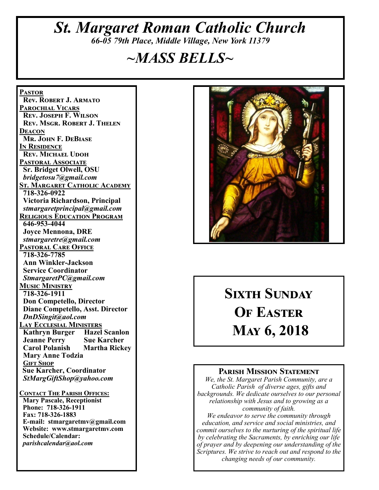# *St. Margaret Roman Catholic Church 66-05 79th Place, Middle Village, New York 11379*

# *~MASS BELLS~*

**Pastor Rev. Robert J. Armato Parochial Vicars Rev. Joseph F. Wilson Rev. Msgr. Robert J. Thelen Deacon Mr. John F. DeBiase In Residence Rev. Michael Udoh Pastoral Associate Sr. Bridget Olwell, OSU**  *bridgetosu7@gmail.com* **St. Margaret Catholic Academy 718-326-0922 Victoria Richardson, Principal**  *stmargaretprincipal@gmail.com* **Religious Education Program 646-953-4044 Joyce Mennona, DRE** *stmargaretre@gmail.com* **Pastoral Care Office 718-326-7785 Ann Winkler-Jackson Service Coordinator** *StmargaretPC@gmail.com* **Music Ministry 718-326-1911 Don Competello, Director Diane Competello, Asst. Director** *DnDSingit@aol.com* **Lay Ecclesial Ministers Kathryn Burger Hazel Scanlon<br>Jeanne Perry Sue Karcher Jeanne Perry Carol Polanish Martha Rickey Mary Anne Todzia Gift Shop Sue Karcher, Coordinator** *StMargGiftShop@yahoo.com* **Contact The Parish Offices: Mary Pascale, Receptionist Phone: 718-326-1911 Fax: 718-326-1883 E-mail: stmargaretmv@gmail.com Website: www.stmargaretmv.com Schedule/Calendar:** *parishcalendar@aol.com* 



# **Sixth Sunday OF EASTER May 6, 2018**

#### **Parish Mission Statement**

*We, the St. Margaret Parish Community, are a Catholic Parish of diverse ages, gifts and backgrounds. We dedicate ourselves to our personal relationship with Jesus and to growing as a community of faith.*

*We endeavor to serve the community through education, and service and social ministries, and commit ourselves to the nurturing of the spiritual life by celebrating the Sacraments, by enriching our life of prayer and by deepening our understanding of the Scriptures. We strive to reach out and respond to the changing needs of our community.*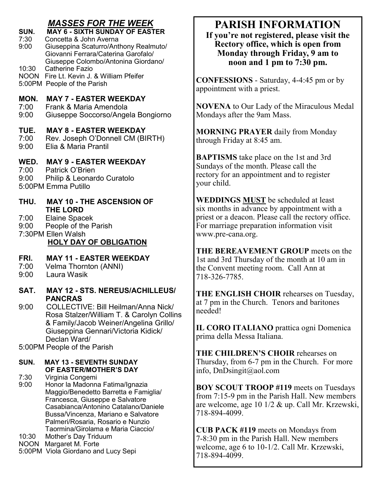# *MASSES FOR THE WEEK*

**SUN. MAY 6 - SIXTH SUNDAY OF EASTER**  7:30 Concetta & John Averna 9:00 Giuseppina Scaturro/Anthony Realmuto/ Giovanni Ferrara/Caterina Garofalo/ Giuseppe Colombo/Antonina Giordano/<br>10:30 Catherine Fazio Catherine Fazio NOON Fire Lt. Kevin J. & William Pfeifer 5:00PM People of the Parish **MON. MAY 7 - EASTER WEEKDAY**<br>7:00 Frank & Maria Amendola 7:00 Frank & Maria Amendola 9:00 Giuseppe Soccorso/Angela Bongiorno **TUE. MAY 8 - EASTER WEEKDAY** 7:00 Rev. Joseph O'Donnell CM (BIRTH)<br>9:00 Elia & Maria Prantil 9:00 Elia & Maria Prantil **WED. MAY 9 - EASTER WEEKDAY** 7:00 Patrick O'Brien<br>9:00 Philip & Leonar Philip & Leonardo Curatolo 5:00PM Emma Putillo

- **THU. MAY 10 - THE ASCENSION OF THE LORD**
- 7:00 Elaine Spacek
- 9:00 People of the Parish

7:30PM Ellen Walsh

#### **HOLY DAY OF OBLIGATION**

#### **FRI. MAY 11 - EASTER WEEKDAY**

- 7:00 Velma Thornton (ANNI)
- 9:00 Laura Wasik
- **SAT. MAY 12 - STS. NEREUS/ACHILLEUS/ PANCRAS**
- 9:00 COLLECTIVE: Bill Heilman/Anna Nick/ Rosa Stalzer/William T. & Carolyn Collins & Family/Jacob Weiner/Angelina Grillo/ Giuseppina Gennari/Victoria Kidick/ Declan Ward/

5:00PM People of the Parish

#### **SUN. MAY 13 - SEVENTH SUNDAY OF EASTER/MOTHER'S DAY**

7:30 Virginia Congemi

- 9:00 Honor la Madonna Fatima/Ignazia Maggio/Benedetto Barretta e Famiglia/ Francesca, Giuseppe e Salvatore Casabianca/Antonino Catalano/Daniele Bussa/Vincenza, Mariano e Salvatore Palmeri/Rosaria, Rosario e Nunzio Taormina/Girolama e Maria Ciaccio/
- 10:30 Mother's Day Triduum
- NOON Margaret M. Forte
- 5:00PM Viola Giordano and Lucy Sepi

# **PARISH INFORMATION**

**If you're not registered, please visit the Rectory office, which is open from Monday through Friday, 9 am to noon and 1 pm to 7:30 pm.**

**CONFESSIONS** - Saturday, 4-4:45 pm or by appointment with a priest.

**NOVENA** to Our Lady of the Miraculous Medal Mondays after the 9am Mass.

**MORNING PRAYER** daily from Monday through Friday at 8:45 am.

**BAPTISMS** take place on the 1st and 3rd Sundays of the month. Please call the rectory for an appointment and to register your child.

**WEDDINGS MUST** be scheduled at least six months in advance by appointment with a priest or a deacon. Please call the rectory office. For marriage preparation information visit www.pre-cana.org.

**THE BEREAVEMENT GROUP** meets on the 1st and 3rd Thursday of the month at 10 am in the Convent meeting room. Call Ann at 718-326-7785.

**THE ENGLISH CHOIR** rehearses on Tuesday, at 7 pm in the Church. Tenors and baritones needed!

**IL CORO ITALIANO** prattica ogni Domenica prima della Messa Italiana.

**THE CHILDREN'S CHOIR** rehearses on Thursday, from 6-7 pm in the Church. For more info, DnDsingit@aol.com

**BOY SCOUT TROOP #119** meets on Tuesdays from 7:15-9 pm in the Parish Hall. New members are welcome, age 10 1/2 & up. Call Mr. Krzewski, 718-894-4099.

**CUB PACK #119** meets on Mondays from 7-8:30 pm in the Parish Hall. New members welcome, age 6 to 10-1/2. Call Mr. Krzewski, 718-894-4099.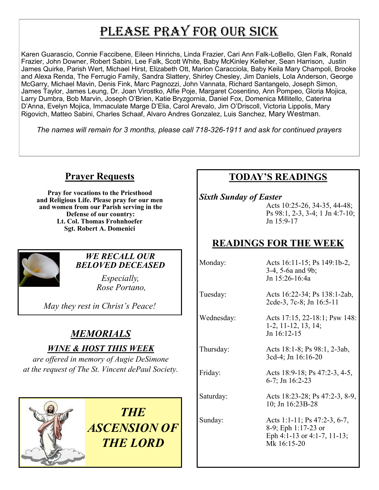# PLEASE PRAY FOR OUR SICK

Karen Guarascio, Connie Faccibene, Eileen Hinrichs, Linda Frazier, Cari Ann Falk-LoBello, Glen Falk, Ronald Frazier, John Downer, Robert Sabini, Lee Falk, Scott White, Baby McKinley Kelleher, Sean Harrison, Justin James Quirke, Parish Wert, Michael Hirst, Elizabeth Ott, Marion Caracciola, Baby Keila Mary Champoli, Brooke and Alexa Renda, The Ferrugio Family, Sandra Slattery, Shirley Chesley, Jim Daniels, Lola Anderson, George McGarry, Michael Mavin, Denis Fink, Marc Pagnozzi, John Vannata, Richard Santangelo, Joseph Simon, James Taylor, James Leung, Dr. Joan Virostko, Alfie Poje, Margaret Cosentino, Ann Pompeo, Gloria Mojica, Larry Dumbra, Bob Marvin, Joseph O'Brien, Katie Bryzgornia, Daniel Fox, Domenica Millitello, Caterina D'Anna, Evelyn Mojica, Immaculate Marge D'Elia, Carol Arevalo, Jim O'Driscoll, Victoria Lippolis, Mary Rigovich, Matteo Sabini, Charles Schaaf, Alvaro Andres Gonzalez, Luis Sanchez, Mary Westman.

*The names will remain for 3 months, please call 718-326-1911 and ask for continued prayers*

# **Prayer Requests**

**Pray for vocations to the Priesthood and Religious Life. Please pray for our men and women from our Parish serving in the Defense of our country: Lt. Col. Thomas Frohnhoefer Sgt. Robert A. Domenici** 



#### *WE RECALL OUR BELOVED DECEASED*

*Especially, Rose Portano,* 

*May they rest in Christ's Peace!*

# *MEMORIALS*

#### *WINE & HOST THIS WEEK*

*are offered in memory of Augie DeSimone at the request of The St. Vincent dePaul Society.*



*THE ASCENSION OF THE LORD*

# **TODAY'S READINGS**

*Sixth Sunday of Easter*

Acts 10:25-26, 34-35, 44-48; Ps 98:1, 2-3, 3-4; 1 Jn 4:7-10; Jn 15:9-17

# **READINGS FOR THE WEEK**

Monday: Acts 16:11-15; Ps 149:1b-2, 3-4, 5-6a and 9b; Jn 15:26-16:4a

Tuesday: Acts 16:22-34; Ps 138:1-2ab, 2cde-3, 7c-8; Jn 16:5-11

Wednesday: Acts 17:15, 22-18:1; Psw 148: 1-2, 11-12, 13, 14; Jn 16:12-15

Thursday: Acts 18:1-8; Ps 98:1, 2-3ab, 3cd-4; Jn 16:16-20

Friday: Acts 18:9-18; Ps 47:2-3, 4-5, 6-7; Jn 16:2-23

Saturday: Acts 18:23-28; Ps 47:2-3, 8-9, 10; Jn 16:23B-28

Sunday: Acts 1:1-11; Ps 47:2-3, 6-7, 8-9; Eph 1:17-23 or Eph 4:1-13 or 4:1-7, 11-13; Mk 16:15-20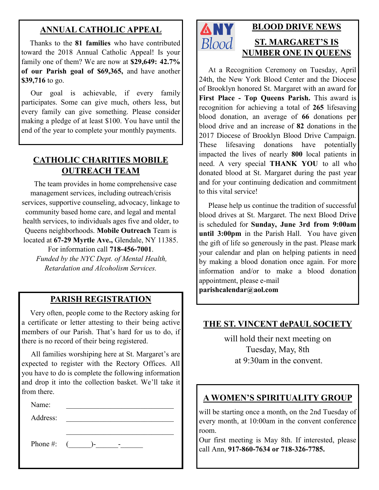# **ANNUAL CATHOLIC APPEAL**

 Thanks to the **81 families** who have contributed toward the 2018 Annual Catholic Appeal! Is your family one of them? We are now at **\$29,649: 42.7% of our Parish goal of \$69,365,** and have another **\$39,716** to go.

 Our goal is achievable, if every family participates. Some can give much, others less, but every family can give something. Please consider making a pledge of at least \$100. You have until the end of the year to complete your monthly payments.

## **CATHOLIC CHARITIES MOBILE OUTREACH TEAM**

 The team provides in home comprehensive case management services, including outreach/crisis services, supportive counseling, advocacy, linkage to community based home care, and legal and mental health services, to individuals ages five and older, to Queens neighborhoods. **Mobile Outreach** Team is located at **67-29 Myrtle Ave.,** Glendale, NY 11385.

For information call **718-456-7001**. *Funded by the NYC Dept. of Mental Health, Retardation and Alcoholism Services.*

## **PARISH REGISTRATION**

 Very often, people come to the Rectory asking for a certificate or letter attesting to their being active members of our Parish. That's hard for us to do, if there is no record of their being registered.

 All families worshiping here at St. Margaret's are expected to register with the Rectory Offices. All you have to do is complete the following information and drop it into the collection basket. We'll take it from there.

Name:

Address:

Phone #: (\_\_\_\_\_\_)-\_\_\_\_\_\_-\_\_\_\_\_\_



# **BLOOD DRIVE NEWS ST. MARGARET'S IS NUMBER ONE IN QUEENS**

 At a Recognition Ceremony on Tuesday, April 24th, the New York Blood Center and the Diocese of Brooklyn honored St. Margaret with an award for **First Place - Top Queens Parish.** This award is recognition for achieving a total of **265** lifesaving blood donation, an average of **66** donations per blood drive and an increase of **82** donations in the 2017 Diocese of Brooklyn Blood Drive Campaign. These lifesaving donations have potentially impacted the lives of nearly **800** local patients in need. A very special **THANK YOU** to all who donated blood at St. Margaret during the past year and for your continuing dedication and commitment to this vital service!

 Please help us continue the tradition of successful blood drives at St. Margaret. The next Blood Drive is scheduled for **Sunday, June 3rd from 9:00am until 3:00pm** in the Parish Hall. You have given the gift of life so generously in the past. Please mark your calendar and plan on helping patients in need by making a blood donation once again. For more information and/or to make a blood donation appointment, please e-mail **parishcalendar@aol.com**

### **THE ST. VINCENT dePAUL SOCIETY**

will hold their next meeting on Tuesday, May, 8th at 9:30am in the convent.

### **A WOMEN'S SPIRITUALITY GROUP**

will be starting once a month, on the 2nd Tuesday of every month, at 10:00am in the convent conference room.

Our first meeting is May 8th. If interested, please call Ann, **917-860-7634 or 718-326-7785.**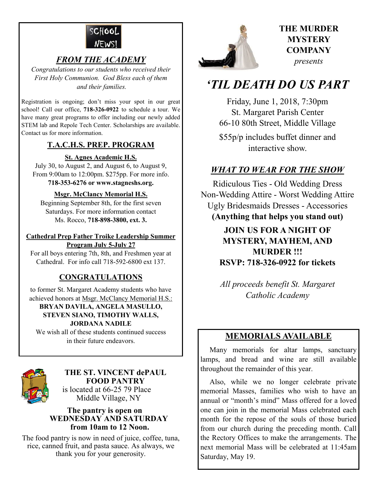

## *FROM THE ACADEMY*

*Congratulations to our students who received their First Holy Communion. God Bless each of them and their families.*

Registration is ongoing; don't miss your spot in our great school! Call our office, **718-326-0922** to schedule a tour. We have many great programs to offer including our newly added STEM lab and Repole Tech Center. Scholarships are available. Contact us for more information.

#### **T.A.C.H.S. PREP. PROGRAM**

#### **St. Agnes Academic H.S.**

July 30, to August 2, and August 6, to August 9, From 9:00am to 12:00pm. \$275pp. For more info. **718-353-6276 or www.stagneshs.org.**

#### **Msgr. McClancy Memorial H.S.**

Beginning September 8th, for the first seven Saturdays. For more information contact Ms. Rocco, **718-898-3800, ext. 3.**

#### **Cathedral Prep Father Troike Leadership Summer Program July 5-July 27**

For all boys entering 7th, 8th, and Freshmen year at Cathedral. For info call 718-592-6800 ext 137.

## **CONGRATULATIONS**

to former St. Margaret Academy students who have achieved honors at Msgr. McClancy Memorial H.S.:

#### **BRYAN DAVILA, ANGELA MASULLO, STEVEN SIANO, TIMOTHY WALLS, JORDANA NADILE**

We wish all of these students continued success in their future endeavors.



#### **THE ST. VINCENT dePAUL FOOD PANTRY** is located at 66-25 79 Place

Middle Village, NY

#### **The pantry is open on WEDNESDAY AND SATURDAY from 10am to 12 Noon.**

The food pantry is now in need of juice, coffee, tuna, rice, canned fruit, and pasta sauce. As always, we thank you for your generosity.



## **THE MURDER MYSTERY COMPANY** *presents*

# *'TIL DEATH DO US PART*

Friday, June 1, 2018, 7:30pm St. Margaret Parish Center 66-10 80th Street, Middle Village \$55p/p includes buffet dinner and interactive show.

# *WHAT TO WEAR FOR THE SHOW*

Ridiculous Ties - Old Wedding Dress Non-Wedding Attire - Worst Wedding Attire Ugly Bridesmaids Dresses - Accessories **(Anything that helps you stand out)**

> **JOIN US FOR A NIGHT OF MYSTERY, MAYHEM, AND MURDER !!! RSVP: 718-326-0922 for tickets**

> *All proceeds benefit St. Margaret Catholic Academy*

# **MEMORIALS AVAILABLE**

Many memorials for altar lamps, sanctuary lamps, and bread and wine are still available throughout the remainder of this year.

 Also, while we no longer celebrate private memorial Masses, families who wish to have an annual or "month's mind" Mass offered for a loved one can join in the memorial Mass celebrated each month for the repose of the souls of those buried from our church during the preceding month. Call the Rectory Offices to make the arrangements. The next memorial Mass will be celebrated at 11:45am Saturday, May 19.